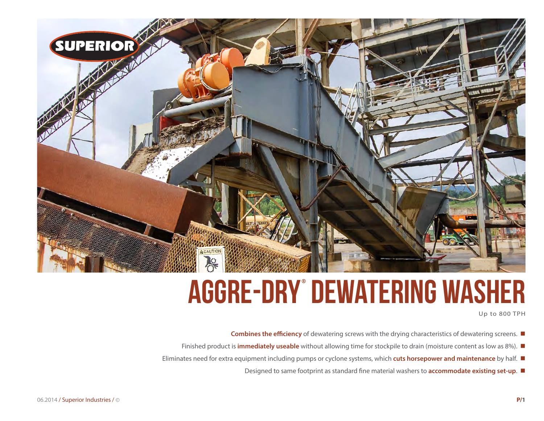

# **aggre-dry® Dewatering washer**

Up to 800 TPH

- Combines the efficiency of dewatering screws with the drying characteristics of dewatering screens. ■
- Finished product is **immediately useable** without allowing time for stockpile to drain (moisture content as low as 8%).
- Eliminates need for extra equipment including pumps or cyclone systems, which **cuts horsepower and maintenance** by half.
	- Designed to same footprint as standard fine material washers to **accommodate existing set-up.**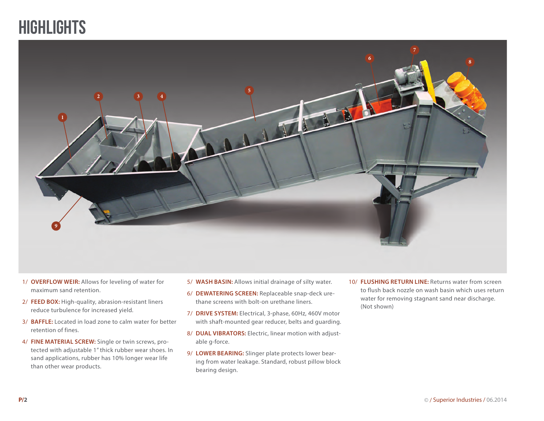### **HIGHLIGHTS**



- 1/ **OVERFLOW WEIR:** Allows for leveling of water for maximum sand retention.
- 2/ **FEED BOX:** High-quality, abrasion-resistant liners reduce turbulence for increased yield.
- 3/ **BAFFLE:** Located in load zone to calm water for better retention of fines.
- 4/ **FINE MATERIAL SCREW:** Single or twin screws, protected with adjustable 1" thick rubber wear shoes. In sand applications, rubber has 10% longer wear life than other wear products.
- 5/ **WASH BASIN:** Allows initial drainage of silty water.
- 6/ **DEWATERING SCREEN:** Replaceable snap-deck urethane screens with bolt-on urethane liners.
- 7/ **DRIVE SYSTEM:** Electrical, 3-phase, 60Hz, 460V motor with shaft-mounted gear reducer, belts and guarding.
- 8/ **DUAL VIBRATORS:** Electric, linear motion with adjustable g-force.
- 9/ **LOWER BEARING:** Slinger plate protects lower bearing from water leakage. Standard, robust pillow block bearing design.
- 10/ **FLUSHING RETURN LINE:** Returns water from screen to flush back nozzle on wash basin which uses return water for removing stagnant sand near discharge. (Not shown)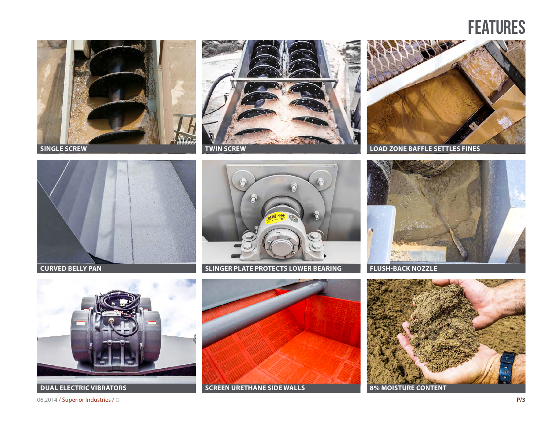### **FEATURES**











**CURVED BELLY PAN SLINGER PLATE PROTECTS LOWER BEARING FLUSH-BACK NOZZLE** 





06.2014 / Superior Industries / © **P/3**